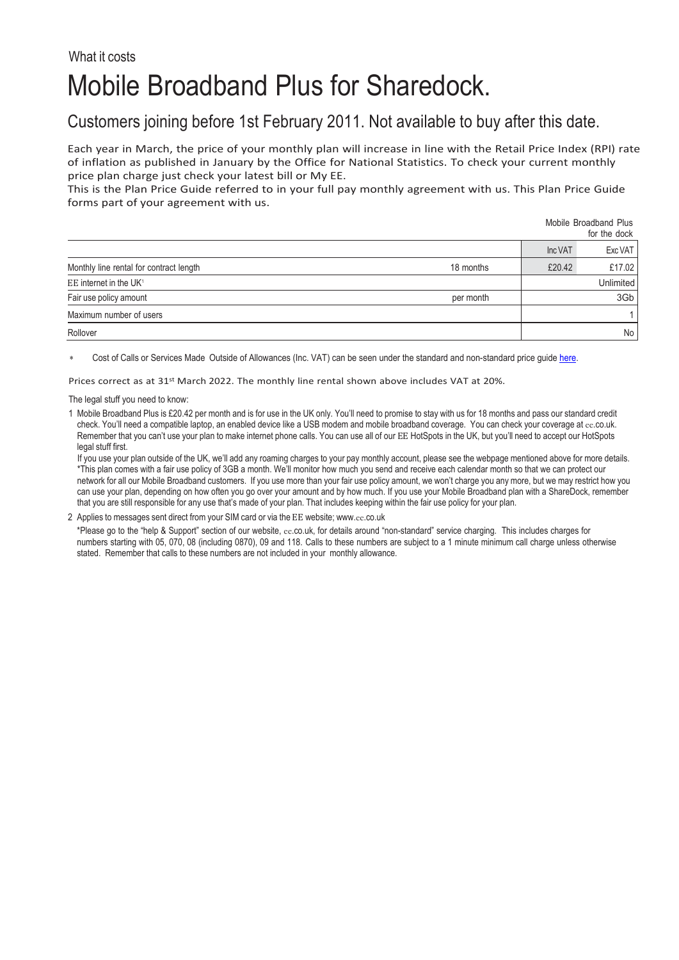## What it costs Mobile Broadband Plus for Sharedock.

## Customers joining before 1st February 2011. Not available to buy after this date.

Each year in March, the price of your monthly plan will increase in line with the Retail Price Index (RPI) rate of inflation as published in January by the Office for National Statistics. To check your current monthly price plan charge just check your latest bill or My EE.

This is the Plan Price Guide referred to in your full pay monthly agreement with us. This Plan Price Guide forms part of your agreement with us.

|                                         |           | Mobile Broadband Plus<br>for the dock |                  |  |
|-----------------------------------------|-----------|---------------------------------------|------------------|--|
|                                         |           | Inc VAT                               | Exc VAT          |  |
| Monthly line rental for contract length | 18 months | £20.42                                | £17.02           |  |
| EE internet in the UK <sup>1</sup>      |           |                                       | <b>Unlimited</b> |  |
| Fair use policy amount                  | per month | 3Gb                                   |                  |  |
| Maximum number of users                 |           |                                       |                  |  |
| Rollover                                |           |                                       | No               |  |

Cost of Calls or Services Made Outside of Allowances (Inc. VAT) can be seen under the standard and non-standard price quid[e here.](https://ee.co.uk/help/help-new/price-plans/legacy-brand/pay-monthly-price-plans)

Prices correct as at 31st March 2022. The monthly line rental shown above includes VAT at 20%.

The legal stuff you need to know:

1 Mobile Broadband Plus is £20.42 per month and is for use in the UK only. You'll need to promise to stay with us for 18 months and pass our standard credit check. You'll need a compatible laptop, an enabled device like a USB modem and mobile broadband coverage. You can check your coverage at ee.co.uk. Remember that you can't use your plan to make internet phone calls. You can use all of our EE HotSpots in the UK, but you'll need to accept our HotSpots legal stuff first.

If you use your plan outside of the UK, we'll add any roaming charges to your pay monthly account, please see the webpage mentioned above for more details. \*This plan comes with a fair use policy of 3GB a month. We'll monitor how much you send and receive each calendar month so that we can protect our network for all our Mobile Broadband customers. If you use more than your fair use policy amount, we won't charge you any more, but we may restrict how you can use your plan, depending on how often you go over your amount and by how much. If you use your Mobile Broadband plan with a ShareDock, remember that you are still responsible for any use that's made of your plan. That includes keeping within the fair use policy for your plan.

## 2 Applies to messages sent direct from your SIM card or via the EE website; www.ee[.co.uk](http://www.ee.co.uk/)

\*Please go to the "help & Support" section of our website, ee.co.uk, for details around "non-standard" service charging. This includes charges for numbers starting with 05, 070, 08 (including 0870), 09 and 118. Calls to these numbers are subject to a 1 minute minimum call charge unless otherwise stated. Remember that calls to these numbers are not included in your monthly allowance.